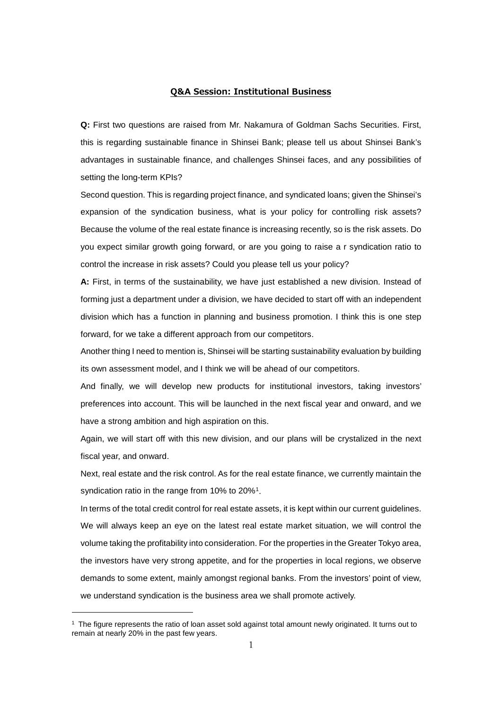## **Q&A Session: Institutional Business**

**Q:** First two questions are raised from Mr. Nakamura of Goldman Sachs Securities. First, this is regarding sustainable finance in Shinsei Bank; please tell us about Shinsei Bank's advantages in sustainable finance, and challenges Shinsei faces, and any possibilities of setting the long-term KPIs?

Second question. This is regarding project finance, and syndicated loans; given the Shinsei's expansion of the syndication business, what is your policy for controlling risk assets? Because the volume of the real estate finance is increasing recently, so is the risk assets. Do you expect similar growth going forward, or are you going to raise a r syndication ratio to control the increase in risk assets? Could you please tell us your policy?

**A:** First, in terms of the sustainability, we have just established a new division. Instead of forming just a department under a division, we have decided to start off with an independent division which has a function in planning and business promotion. I think this is one step forward, for we take a different approach from our competitors.

Another thing I need to mention is, Shinsei will be starting sustainability evaluation by building its own assessment model, and I think we will be ahead of our competitors.

And finally, we will develop new products for institutional investors, taking investors' preferences into account. This will be launched in the next fiscal year and onward, and we have a strong ambition and high aspiration on this.

Again, we will start off with this new division, and our plans will be crystalized in the next fiscal year, and onward.

Next, real estate and the risk control. As for the real estate finance, we currently maintain the syndication ratio in the range from [1](#page-0-0)0% to 20%<sup>1</sup>.

In terms of the total credit control for real estate assets, it is kept within our current guidelines. We will always keep an eye on the latest real estate market situation, we will control the volume taking the profitability into consideration. For the properties in the Greater Tokyo area, the investors have very strong appetite, and for the properties in local regions, we observe demands to some extent, mainly amongst regional banks. From the investors' point of view, we understand syndication is the business area we shall promote actively.

<span id="page-0-0"></span><sup>&</sup>lt;sup>1</sup> The figure represents the ratio of loan asset sold against total amount newly originated. It turns out to remain at nearly 20% in the past few years.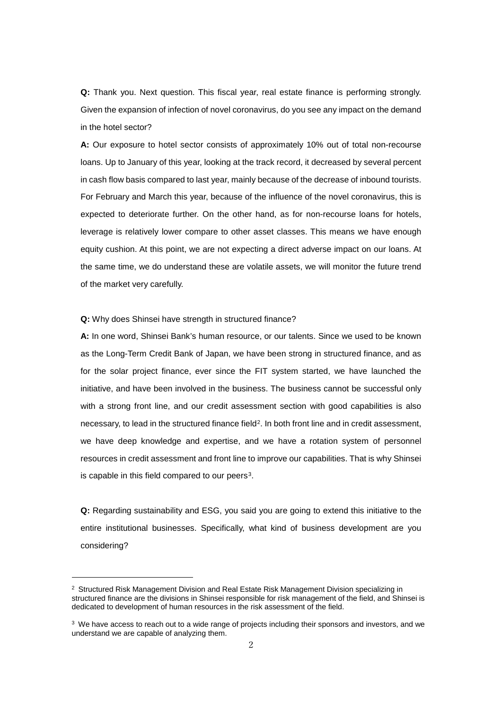**Q:** Thank you. Next question. This fiscal year, real estate finance is performing strongly. Given the expansion of infection of novel coronavirus, do you see any impact on the demand in the hotel sector?

**A:** Our exposure to hotel sector consists of approximately 10% out of total non-recourse loans. Up to January of this year, looking at the track record, it decreased by several percent in cash flow basis compared to last year, mainly because of the decrease of inbound tourists. For February and March this year, because of the influence of the novel coronavirus, this is expected to deteriorate further. On the other hand, as for non-recourse loans for hotels, leverage is relatively lower compare to other asset classes. This means we have enough equity cushion. At this point, we are not expecting a direct adverse impact on our loans. At the same time, we do understand these are volatile assets, we will monitor the future trend of the market very carefully.

**Q:** Why does Shinsei have strength in structured finance?

-

**A:** In one word, Shinsei Bank's human resource, or our talents. Since we used to be known as the Long-Term Credit Bank of Japan, we have been strong in structured finance, and as for the solar project finance, ever since the FIT system started, we have launched the initiative, and have been involved in the business. The business cannot be successful only with a strong front line, and our credit assessment section with good capabilities is also necessary, to lead in the structured finance field<sup>2</sup>. In both front line and in credit assessment, we have deep knowledge and expertise, and we have a rotation system of personnel resources in credit assessment and front line to improve our capabilities. That is why Shinsei is capable in this field compared to our peers $3$ .

**Q:** Regarding sustainability and ESG, you said you are going to extend this initiative to the entire institutional businesses. Specifically, what kind of business development are you considering?

<span id="page-1-0"></span><sup>&</sup>lt;sup>2</sup> Structured Risk Management Division and Real Estate Risk Management Division specializing in structured finance are the divisions in Shinsei responsible for risk management of the field, and Shinsei is dedicated to development of human resources in the risk assessment of the field.

<span id="page-1-1"></span> $3$  We have access to reach out to a wide range of projects including their sponsors and investors, and we understand we are capable of analyzing them.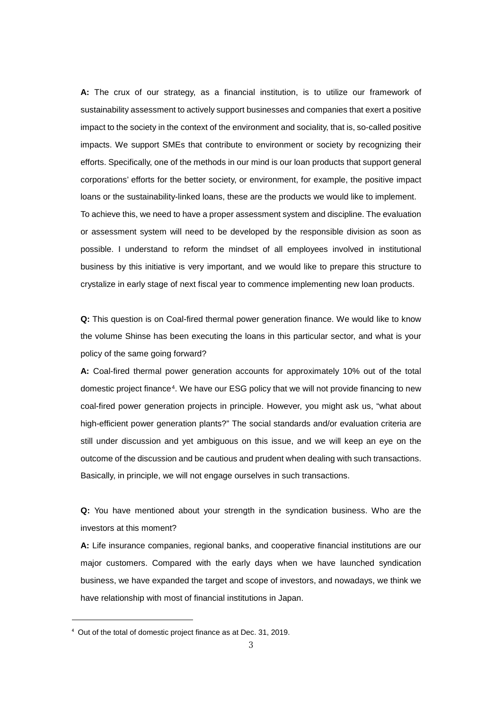**A:** The crux of our strategy, as a financial institution, is to utilize our framework of sustainability assessment to actively support businesses and companies that exert a positive impact to the society in the context of the environment and sociality, that is, so-called positive impacts. We support SMEs that contribute to environment or society by recognizing their efforts. Specifically, one of the methods in our mind is our loan products that support general corporations' efforts for the better society, or environment, for example, the positive impact loans or the sustainability-linked loans, these are the products we would like to implement. To achieve this, we need to have a proper assessment system and discipline. The evaluation or assessment system will need to be developed by the responsible division as soon as possible. I understand to reform the mindset of all employees involved in institutional business by this initiative is very important, and we would like to prepare this structure to crystalize in early stage of next fiscal year to commence implementing new loan products.

**Q:** This question is on Coal-fired thermal power generation finance. We would like to know the volume Shinse has been executing the loans in this particular sector, and what is your policy of the same going forward?

**A:** Coal-fired thermal power generation accounts for approximately 10% out of the total domestic project finance<sup>[4](#page-2-0)</sup>. We have our ESG policy that we will not provide financing to new coal-fired power generation projects in principle. However, you might ask us, "what about high-efficient power generation plants?" The social standards and/or evaluation criteria are still under discussion and yet ambiguous on this issue, and we will keep an eye on the outcome of the discussion and be cautious and prudent when dealing with such transactions. Basically, in principle, we will not engage ourselves in such transactions.

**Q:** You have mentioned about your strength in the syndication business. Who are the investors at this moment?

**A:** Life insurance companies, regional banks, and cooperative financial institutions are our major customers. Compared with the early days when we have launched syndication business, we have expanded the target and scope of investors, and nowadays, we think we have relationship with most of financial institutions in Japan.

<span id="page-2-0"></span><sup>4</sup> Out of the total of domestic project finance as at Dec. 31, 2019.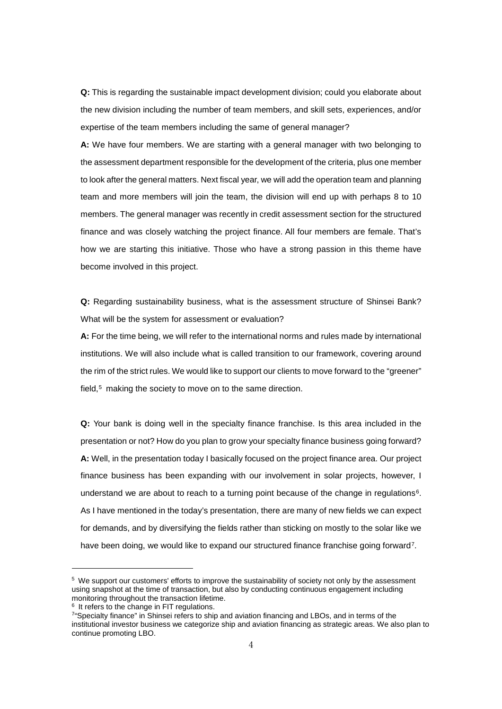**Q:** This is regarding the sustainable impact development division; could you elaborate about the new division including the number of team members, and skill sets, experiences, and/or expertise of the team members including the same of general manager?

**A:** We have four members. We are starting with a general manager with two belonging to the assessment department responsible for the development of the criteria, plus one member to look after the general matters. Next fiscal year, we will add the operation team and planning team and more members will join the team, the division will end up with perhaps 8 to 10 members. The general manager was recently in credit assessment section for the structured finance and was closely watching the project finance. All four members are female. That's how we are starting this initiative. Those who have a strong passion in this theme have become involved in this project.

**Q:** Regarding sustainability business, what is the assessment structure of Shinsei Bank? What will be the system for assessment or evaluation?

**A:** For the time being, we will refer to the international norms and rules made by international institutions. We will also include what is called transition to our framework, covering around the rim of the strict rules. We would like to support our clients to move forward to the "greener" field,<sup>[5](#page-3-0)</sup> making the society to move on to the same direction.

**Q:** Your bank is doing well in the specialty finance franchise. Is this area included in the presentation or not? How do you plan to grow your specialty finance business going forward? **A:** Well, in the presentation today I basically focused on the project finance area. Our project finance business has been expanding with our involvement in solar projects, however, I understand we are about to reach to a turning point because of the change in regulations<sup>[6](#page-3-1)</sup>. As I have mentioned in the today's presentation, there are many of new fields we can expect for demands, and by diversifying the fields rather than sticking on mostly to the solar like we have been doing, we would like to expand our structured finance franchise going forward<sup>7</sup>.

<span id="page-3-0"></span><sup>&</sup>lt;sup>5</sup> We support our customers' efforts to improve the sustainability of society not only by the assessment using snapshot at the time of transaction, but also by conducting continuous engagement including monitoring throughout the transaction lifetime.

<span id="page-3-1"></span> $6$  It refers to the change in FIT regulations.

<span id="page-3-2"></span><sup>7&</sup>quot;Specialty finance" in Shinsei refers to ship and aviation financing and LBOs, and in terms of the institutional investor business we categorize ship and aviation financing as strategic areas. We also plan to continue promoting LBO.